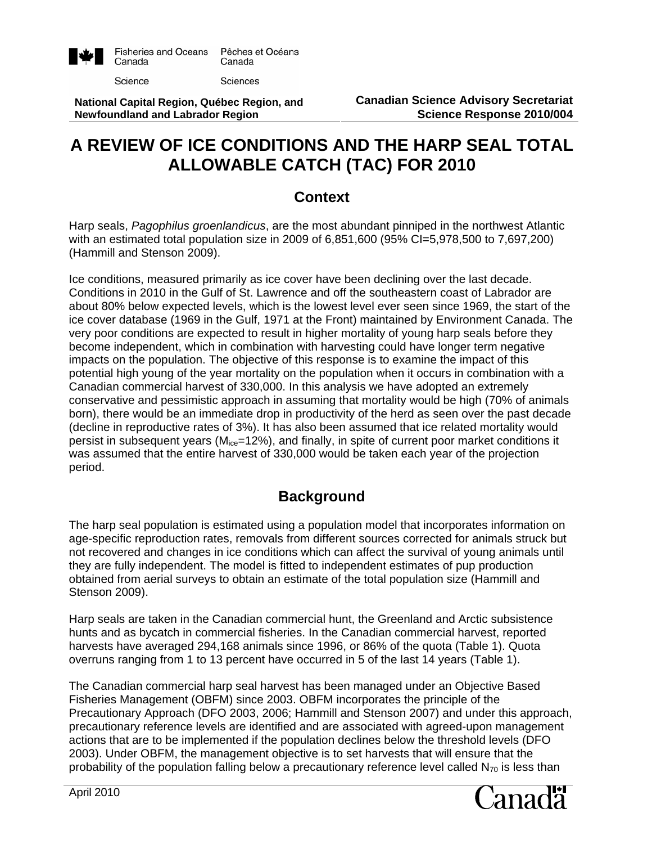

Science

Sciences

**National Capital Region, Québec Region, and Newfoundland and Labrador Region** 

# **A REVIEW OF ICE CONDITIONS AND THE HARP SEAL TOTAL ALLOWABLE CATCH (TAC) FOR 2010**

#### **Context**

Harp seals, *Pagophilus groenlandicus*, are the most abundant pinniped in the northwest Atlantic with an estimated total population size in 2009 of 6,851,600 (95% CI=5,978,500 to 7,697,200) (Hammill and Stenson 2009).

Ice conditions, measured primarily as ice cover have been declining over the last decade. Conditions in 2010 in the Gulf of St. Lawrence and off the southeastern coast of Labrador are about 80% below expected levels, which is the lowest level ever seen since 1969, the start of the ice cover database (1969 in the Gulf, 1971 at the Front) maintained by Environment Canada. The very poor conditions are expected to result in higher mortality of young harp seals before they become independent, which in combination with harvesting could have longer term negative impacts on the population. The objective of this response is to examine the impact of this potential high young of the year mortality on the population when it occurs in combination with a Canadian commercial harvest of 330,000. In this analysis we have adopted an extremely conservative and pessimistic approach in assuming that mortality would be high (70% of animals born), there would be an immediate drop in productivity of the herd as seen over the past decade (decline in reproductive rates of 3%). It has also been assumed that ice related mortality would persist in subsequent years ( $M_{ice}$ =12%), and finally, in spite of current poor market conditions it was assumed that the entire harvest of 330,000 would be taken each year of the projection period.

## **Background**

The harp seal population is estimated using a population model that incorporates information on age-specific reproduction rates, removals from different sources corrected for animals struck but not recovered and changes in ice conditions which can affect the survival of young animals until they are fully independent. The model is fitted to independent estimates of pup production obtained from aerial surveys to obtain an estimate of the total population size (Hammill and Stenson 2009).

Harp seals are taken in the Canadian commercial hunt, the Greenland and Arctic subsistence hunts and as bycatch in commercial fisheries. In the Canadian commercial harvest, reported harvests have averaged 294,168 animals since 1996, or 86% of the quota (Table 1). Quota overruns ranging from 1 to 13 percent have occurred in 5 of the last 14 years (Table 1).

The Canadian commercial harp seal harvest has been managed under an Objective Based Fisheries Management (OBFM) since 2003. OBFM incorporates the principle of the Precautionary Approach (DFO 2003, 2006; Hammill and Stenson 2007) and under this approach, precautionary reference levels are identified and are associated with agreed-upon management actions that are to be implemented if the population declines below the threshold levels (DFO 2003). Under OBFM, the management objective is to set harvests that will ensure that the probability of the population falling below a precautionary reference level called  $N_{70}$  is less than

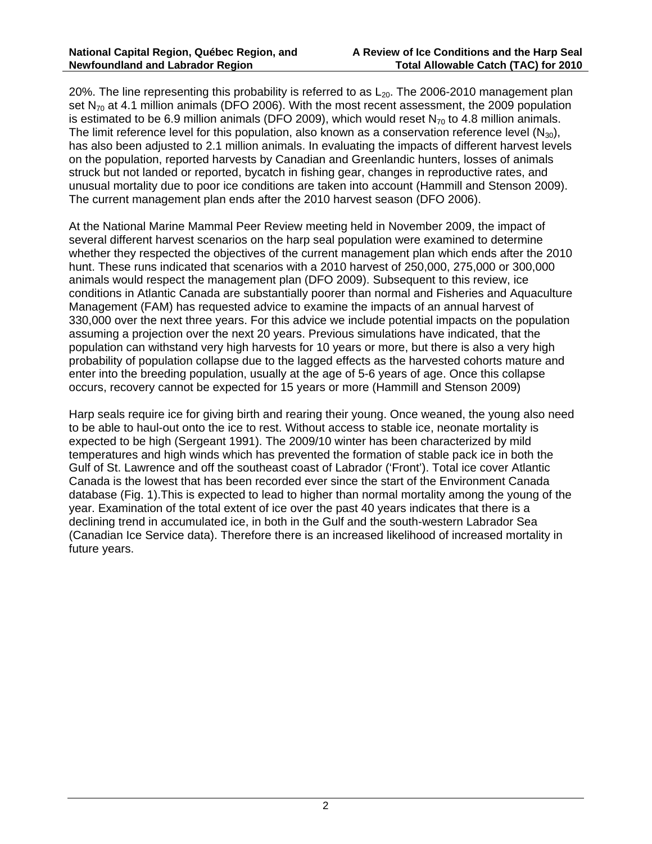20%. The line representing this probability is referred to as  $L_{20}$ . The 2006-2010 management plan set  $N_{70}$  at 4.1 million animals (DFO 2006). With the most recent assessment, the 2009 population is estimated to be 6.9 million animals (DFO 2009), which would reset  $N_{70}$  to 4.8 million animals. The limit reference level for this population, also known as a conservation reference level  $(N_{30})$ , has also been adjusted to 2.1 million animals. In evaluating the impacts of different harvest levels on the population, reported harvests by Canadian and Greenlandic hunters, losses of animals struck but not landed or reported, bycatch in fishing gear, changes in reproductive rates, and unusual mortality due to poor ice conditions are taken into account (Hammill and Stenson 2009). The current management plan ends after the 2010 harvest season (DFO 2006).

At the National Marine Mammal Peer Review meeting held in November 2009, the impact of several different harvest scenarios on the harp seal population were examined to determine whether they respected the objectives of the current management plan which ends after the 2010 hunt. These runs indicated that scenarios with a 2010 harvest of 250,000, 275,000 or 300,000 animals would respect the management plan (DFO 2009). Subsequent to this review, ice conditions in Atlantic Canada are substantially poorer than normal and Fisheries and Aquaculture Management (FAM) has requested advice to examine the impacts of an annual harvest of 330,000 over the next three years. For this advice we include potential impacts on the population assuming a projection over the next 20 years. Previous simulations have indicated, that the population can withstand very high harvests for 10 years or more, but there is also a very high probability of population collapse due to the lagged effects as the harvested cohorts mature and enter into the breeding population, usually at the age of 5-6 years of age. Once this collapse occurs, recovery cannot be expected for 15 years or more (Hammill and Stenson 2009)

Harp seals require ice for giving birth and rearing their young. Once weaned, the young also need to be able to haul-out onto the ice to rest. Without access to stable ice, neonate mortality is expected to be high (Sergeant 1991). The 2009/10 winter has been characterized by mild temperatures and high winds which has prevented the formation of stable pack ice in both the Gulf of St. Lawrence and off the southeast coast of Labrador ('Front'). Total ice cover Atlantic Canada is the lowest that has been recorded ever since the start of the Environment Canada database (Fig. 1).This is expected to lead to higher than normal mortality among the young of the year. Examination of the total extent of ice over the past 40 years indicates that there is a declining trend in accumulated ice, in both in the Gulf and the south-western Labrador Sea (Canadian Ice Service data). Therefore there is an increased likelihood of increased mortality in future years.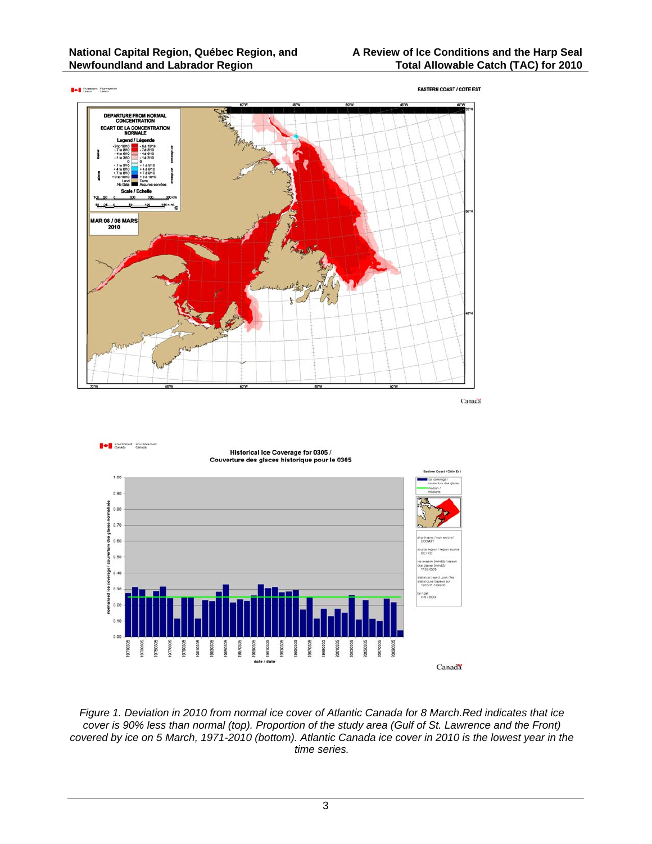





*Figure 1. Deviation in 2010 from normal ice cover of Atlantic Canada for 8 March.Red indicates that ice cover is 90% less than normal (top). Proportion of the study area (Gulf of St. Lawrence and the Front) covered by ice on 5 March, 1971-2010 (bottom). Atlantic Canada ice cover in 2010 is the lowest year in the time series.* 

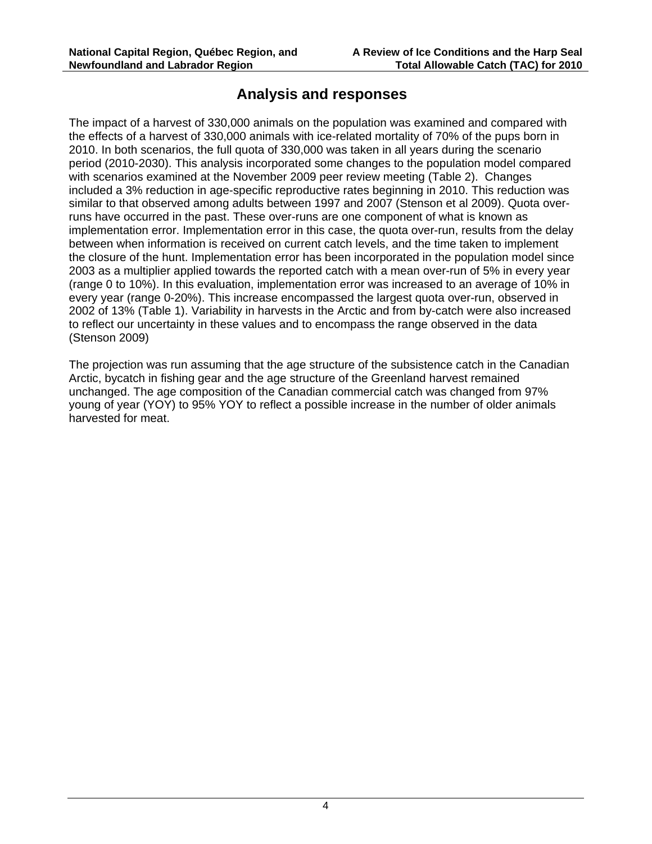#### **Analysis and responses**

The impact of a harvest of 330,000 animals on the population was examined and compared with the effects of a harvest of 330,000 animals with ice-related mortality of 70% of the pups born in 2010. In both scenarios, the full quota of 330,000 was taken in all years during the scenario period (2010-2030). This analysis incorporated some changes to the population model compared with scenarios examined at the November 2009 peer review meeting (Table 2). Changes included a 3% reduction in age-specific reproductive rates beginning in 2010. This reduction was similar to that observed among adults between 1997 and 2007 (Stenson et al 2009). Quota overruns have occurred in the past. These over-runs are one component of what is known as implementation error. Implementation error in this case, the quota over-run, results from the delay between when information is received on current catch levels, and the time taken to implement the closure of the hunt. Implementation error has been incorporated in the population model since 2003 as a multiplier applied towards the reported catch with a mean over-run of 5% in every year (range 0 to 10%). In this evaluation, implementation error was increased to an average of 10% in every year (range 0-20%). This increase encompassed the largest quota over-run, observed in 2002 of 13% (Table 1). Variability in harvests in the Arctic and from by-catch were also increased to reflect our uncertainty in these values and to encompass the range observed in the data (Stenson 2009)

The projection was run assuming that the age structure of the subsistence catch in the Canadian Arctic, bycatch in fishing gear and the age structure of the Greenland harvest remained unchanged. The age composition of the Canadian commercial catch was changed from 97% young of year (YOY) to 95% YOY to reflect a possible increase in the number of older animals harvested for meat.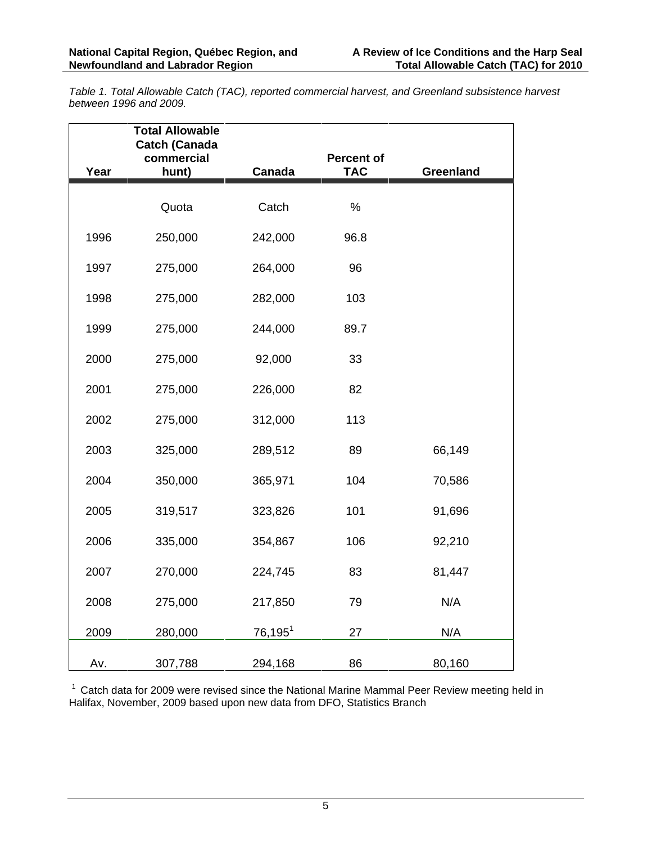*Table 1. Total Allowable Catch (TAC), reported commercial harvest, and Greenland subsistence harvest between 1996 and 2009.* 

| Year | <b>Total Allowable</b><br><b>Catch (Canada</b><br>commercial<br>hunt) | Canada     | Percent of<br><b>TAC</b> | <b>Greenland</b> |
|------|-----------------------------------------------------------------------|------------|--------------------------|------------------|
|      |                                                                       |            |                          |                  |
|      | Quota                                                                 | Catch      | $\%$                     |                  |
| 1996 | 250,000                                                               | 242,000    | 96.8                     |                  |
| 1997 | 275,000                                                               | 264,000    | 96                       |                  |
| 1998 | 275,000                                                               | 282,000    | 103                      |                  |
| 1999 | 275,000                                                               | 244,000    | 89.7                     |                  |
| 2000 | 275,000                                                               | 92,000     | 33                       |                  |
| 2001 | 275,000                                                               | 226,000    | 82                       |                  |
| 2002 | 275,000                                                               | 312,000    | 113                      |                  |
| 2003 | 325,000                                                               | 289,512    | 89                       | 66,149           |
| 2004 | 350,000                                                               | 365,971    | 104                      | 70,586           |
| 2005 | 319,517                                                               | 323,826    | 101                      | 91,696           |
| 2006 | 335,000                                                               | 354,867    | 106                      | 92,210           |
| 2007 | 270,000                                                               | 224,745    | 83                       | 81,447           |
| 2008 | 275,000                                                               | 217,850    | 79                       | N/A              |
| 2009 | 280,000                                                               | $76,195^1$ | 27                       | N/A              |
| Av.  | 307,788                                                               | 294,168    | 86                       | 80,160           |

 $1$  Catch data for 2009 were revised since the National Marine Mammal Peer Review meeting held in Halifax, November, 2009 based upon new data from DFO, Statistics Branch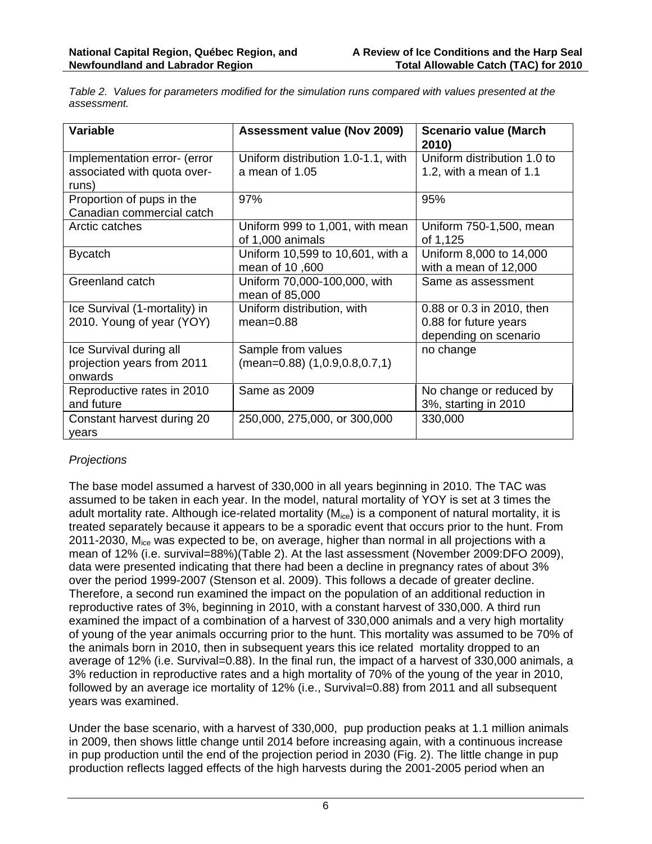*Table 2. Values for parameters modified for the simulation runs compared with values presented at the assessment.* 

| <b>Variable</b>                                                      | <b>Assessment value (Nov 2009)</b>                          | <b>Scenario value (March</b><br>2010)                                       |
|----------------------------------------------------------------------|-------------------------------------------------------------|-----------------------------------------------------------------------------|
| Implementation error- (error<br>associated with quota over-<br>runs) | Uniform distribution 1.0-1.1, with<br>a mean of 1.05        | Uniform distribution 1.0 to<br>1.2, with a mean of 1.1                      |
| Proportion of pups in the<br>Canadian commercial catch               | 97%                                                         | 95%                                                                         |
| Arctic catches                                                       | Uniform 999 to 1,001, with mean<br>of 1,000 animals         | Uniform 750-1,500, mean<br>of 1,125                                         |
| <b>Bycatch</b>                                                       | Uniform 10,599 to 10,601, with a<br>mean of 10,600          | Uniform 8,000 to 14,000<br>with a mean of 12,000                            |
| Greenland catch                                                      | Uniform 70,000-100,000, with<br>mean of 85,000              | Same as assessment                                                          |
| Ice Survival (1-mortality) in<br>2010. Young of year (YOY)           | Uniform distribution, with<br>$mean = 0.88$                 | 0.88 or 0.3 in 2010, then<br>0.88 for future years<br>depending on scenario |
| Ice Survival during all<br>projection years from 2011<br>onwards     | Sample from values<br>$(mean=0.88)$ $(1, 0.9, 0.8, 0.7, 1)$ | no change                                                                   |
| Reproductive rates in 2010<br>and future                             | Same as 2009                                                | No change or reduced by<br>3%, starting in 2010                             |
| Constant harvest during 20<br>vears                                  | 250,000, 275,000, or 300,000                                | 330,000                                                                     |

#### *Projections*

The base model assumed a harvest of 330,000 in all years beginning in 2010. The TAC was assumed to be taken in each year. In the model, natural mortality of YOY is set at 3 times the adult mortality rate. Although ice-related mortality  $(M_{ice})$  is a component of natural mortality, it is treated separately because it appears to be a sporadic event that occurs prior to the hunt. From 2011-2030, M<sub>ice</sub> was expected to be, on average, higher than normal in all projections with a mean of 12% (i.e. survival=88%)(Table 2). At the last assessment (November 2009:DFO 2009), data were presented indicating that there had been a decline in pregnancy rates of about 3% over the period 1999-2007 (Stenson et al. 2009). This follows a decade of greater decline. Therefore, a second run examined the impact on the population of an additional reduction in reproductive rates of 3%, beginning in 2010, with a constant harvest of 330,000. A third run examined the impact of a combination of a harvest of 330,000 animals and a very high mortality of young of the year animals occurring prior to the hunt. This mortality was assumed to be 70% of the animals born in 2010, then in subsequent years this ice related mortality dropped to an average of 12% (i.e. Survival=0.88). In the final run, the impact of a harvest of 330,000 animals, a 3% reduction in reproductive rates and a high mortality of 70% of the young of the year in 2010, followed by an average ice mortality of 12% (i.e., Survival=0.88) from 2011 and all subsequent years was examined.

Under the base scenario, with a harvest of 330,000, pup production peaks at 1.1 million animals in 2009, then shows little change until 2014 before increasing again, with a continuous increase in pup production until the end of the projection period in 2030 (Fig. 2). The little change in pup production reflects lagged effects of the high harvests during the 2001-2005 period when an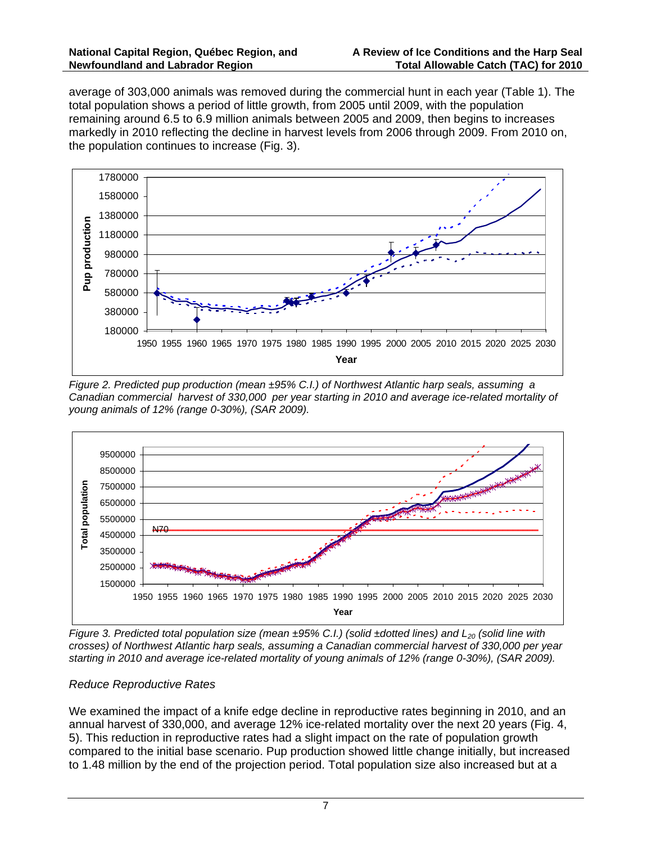average of 303,000 animals was removed during the commercial hunt in each year (Table 1). The total population shows a period of little growth, from 2005 until 2009, with the population remaining around 6.5 to 6.9 million animals between 2005 and 2009, then begins to increases markedly in 2010 reflecting the decline in harvest levels from 2006 through 2009. From 2010 on, the population continues to increase (Fig. 3).



*Figure 2. Predicted pup production (mean ±95% C.I.) of Northwest Atlantic harp seals, assuming a Canadian commercial harvest of 330,000 per year starting in 2010 and average ice-related mortality of young animals of 12% (range 0-30%), (SAR 2009).* 



*Figure 3. Predicted total population size (mean ±95% C.I.) (solid ±dotted lines) and L20 (solid line with crosses) of Northwest Atlantic harp seals, assuming a Canadian commercial harvest of 330,000 per year starting in 2010 and average ice-related mortality of young animals of 12% (range 0-30%), (SAR 2009).* 

#### *Reduce Reproductive Rates*

We examined the impact of a knife edge decline in reproductive rates beginning in 2010, and an annual harvest of 330,000, and average 12% ice-related mortality over the next 20 years (Fig. 4, 5). This reduction in reproductive rates had a slight impact on the rate of population growth compared to the initial base scenario. Pup production showed little change initially, but increased to 1.48 million by the end of the projection period. Total population size also increased but at a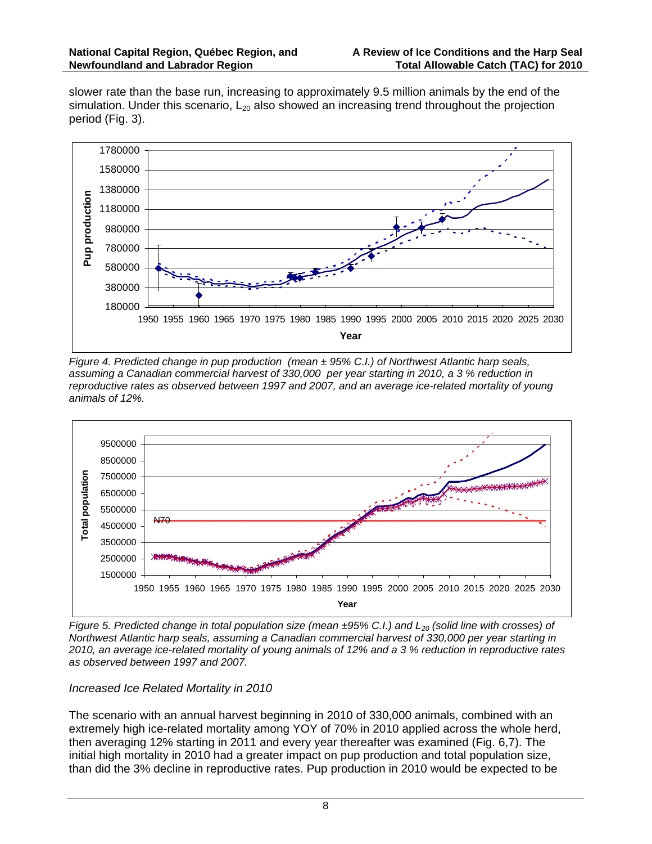slower rate than the base run, increasing to approximately 9.5 million animals by the end of the simulation. Under this scenario,  $L_{20}$  also showed an increasing trend throughout the projection period (Fig. 3).



*Figure 4. Predicted change in pup production (mean ± 95% C.I.) of Northwest Atlantic harp seals, assuming a Canadian commercial harvest of 330,000 per year starting in 2010, a 3 % reduction in reproductive rates as observed between 1997 and 2007, and an average ice-related mortality of young animals of 12%.* 



*Figure 5. Predicted change in total population size (mean ±95% C.I.) and L<sub>20</sub> (solid line with crosses) of Northwest Atlantic harp seals, assuming a Canadian commercial harvest of 330,000 per year starting in 2010, an average ice-related mortality of young animals of 12% and a 3 % reduction in reproductive rates as observed between 1997 and 2007.* 

#### *Increased Ice Related Mortality in 2010*

The scenario with an annual harvest beginning in 2010 of 330,000 animals, combined with an extremely high ice-related mortality among YOY of 70% in 2010 applied across the whole herd, then averaging 12% starting in 2011 and every year thereafter was examined (Fig. 6,7). The initial high mortality in 2010 had a greater impact on pup production and total population size, than did the 3% decline in reproductive rates. Pup production in 2010 would be expected to be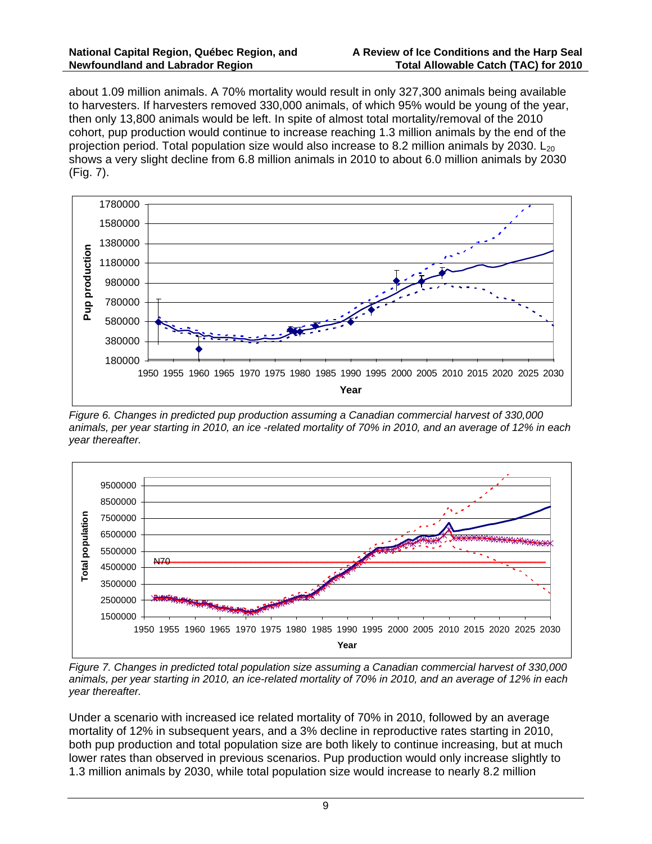about 1.09 million animals. A 70% mortality would result in only 327,300 animals being available to harvesters. If harvesters removed 330,000 animals, of which 95% would be young of the year, then only 13,800 animals would be left. In spite of almost total mortality/removal of the 2010 cohort, pup production would continue to increase reaching 1.3 million animals by the end of the projection period. Total population size would also increase to 8.2 million animals by 2030.  $L_{20}$ shows a very slight decline from 6.8 million animals in 2010 to about 6.0 million animals by 2030 (Fig. 7).



*Figure 6. Changes in predicted pup production assuming a Canadian commercial harvest of 330,000 animals, per year starting in 2010, an ice -related mortality of 70% in 2010, and an average of 12% in each year thereafter.* 



*Figure 7. Changes in predicted total population size assuming a Canadian commercial harvest of 330,000 animals, per year starting in 2010, an ice-related mortality of 70% in 2010, and an average of 12% in each year thereafter.* 

Under a scenario with increased ice related mortality of 70% in 2010, followed by an average mortality of 12% in subsequent years, and a 3% decline in reproductive rates starting in 2010, both pup production and total population size are both likely to continue increasing, but at much lower rates than observed in previous scenarios. Pup production would only increase slightly to 1.3 million animals by 2030, while total population size would increase to nearly 8.2 million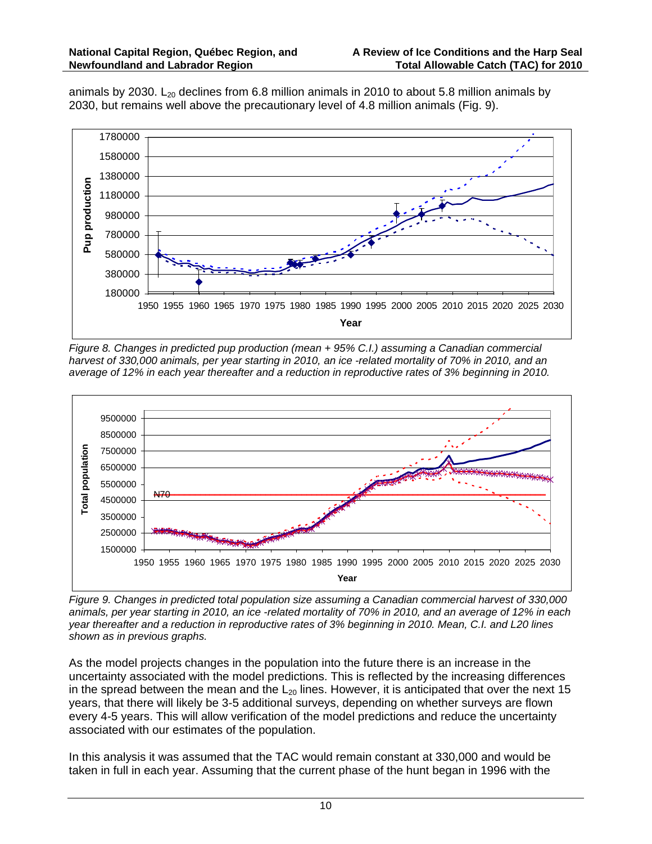animals by 2030. L<sub>20</sub> declines from 6.8 million animals in 2010 to about 5.8 million animals by 2030, but remains well above the precautionary level of 4.8 million animals (Fig. 9).



*Figure 8. Changes in predicted pup production (mean + 95% C.I.) assuming a Canadian commercial harvest of 330,000 animals, per year starting in 2010, an ice -related mortality of 70% in 2010, and an average of 12% in each year thereafter and a reduction in reproductive rates of 3% beginning in 2010.* 



*Figure 9. Changes in predicted total population size assuming a Canadian commercial harvest of 330,000 animals, per year starting in 2010, an ice -related mortality of 70% in 2010, and an average of 12% in each year thereafter and a reduction in reproductive rates of 3% beginning in 2010. Mean, C.I. and L20 lines shown as in previous graphs.* 

As the model projects changes in the population into the future there is an increase in the uncertainty associated with the model predictions. This is reflected by the increasing differences in the spread between the mean and the  $L_{20}$  lines. However, it is anticipated that over the next 15 years, that there will likely be 3-5 additional surveys, depending on whether surveys are flown every 4-5 years. This will allow verification of the model predictions and reduce the uncertainty associated with our estimates of the population.

In this analysis it was assumed that the TAC would remain constant at 330,000 and would be taken in full in each year. Assuming that the current phase of the hunt began in 1996 with the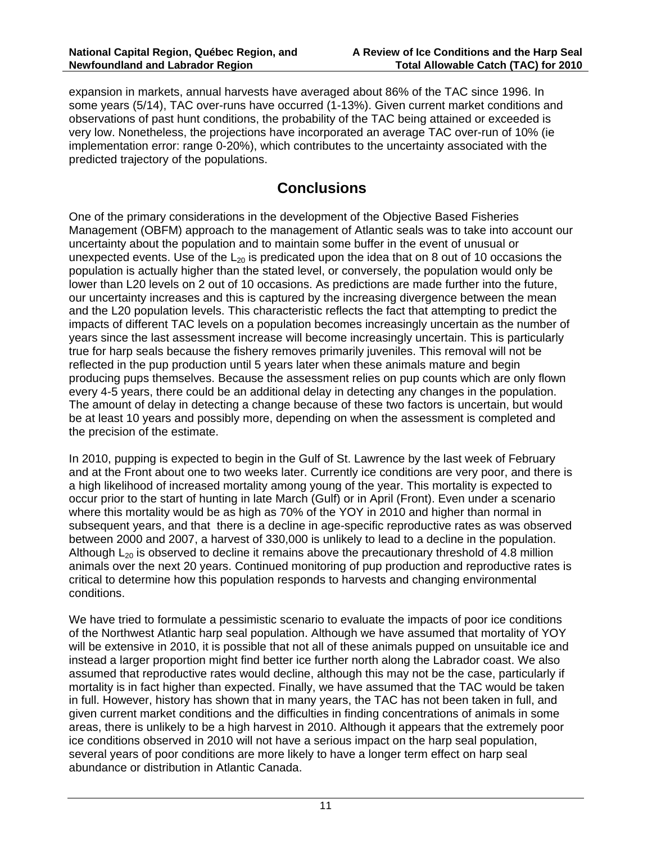expansion in markets, annual harvests have averaged about 86% of the TAC since 1996. In some years (5/14), TAC over-runs have occurred (1-13%). Given current market conditions and observations of past hunt conditions, the probability of the TAC being attained or exceeded is very low. Nonetheless, the projections have incorporated an average TAC over-run of 10% (ie implementation error: range 0-20%), which contributes to the uncertainty associated with the predicted trajectory of the populations.

#### **Conclusions**

One of the primary considerations in the development of the Objective Based Fisheries Management (OBFM) approach to the management of Atlantic seals was to take into account our uncertainty about the population and to maintain some buffer in the event of unusual or unexpected events. Use of the  $L_{20}$  is predicated upon the idea that on 8 out of 10 occasions the population is actually higher than the stated level, or conversely, the population would only be lower than L20 levels on 2 out of 10 occasions. As predictions are made further into the future, our uncertainty increases and this is captured by the increasing divergence between the mean and the L20 population levels. This characteristic reflects the fact that attempting to predict the impacts of different TAC levels on a population becomes increasingly uncertain as the number of years since the last assessment increase will become increasingly uncertain. This is particularly true for harp seals because the fishery removes primarily juveniles. This removal will not be reflected in the pup production until 5 years later when these animals mature and begin producing pups themselves. Because the assessment relies on pup counts which are only flown every 4-5 years, there could be an additional delay in detecting any changes in the population. The amount of delay in detecting a change because of these two factors is uncertain, but would be at least 10 years and possibly more, depending on when the assessment is completed and the precision of the estimate.

In 2010, pupping is expected to begin in the Gulf of St. Lawrence by the last week of February and at the Front about one to two weeks later. Currently ice conditions are very poor, and there is a high likelihood of increased mortality among young of the year. This mortality is expected to occur prior to the start of hunting in late March (Gulf) or in April (Front). Even under a scenario where this mortality would be as high as 70% of the YOY in 2010 and higher than normal in subsequent years, and that there is a decline in age-specific reproductive rates as was observed between 2000 and 2007, a harvest of 330,000 is unlikely to lead to a decline in the population. Although  $L_{20}$  is observed to decline it remains above the precautionary threshold of 4.8 million animals over the next 20 years. Continued monitoring of pup production and reproductive rates is critical to determine how this population responds to harvests and changing environmental conditions.

We have tried to formulate a pessimistic scenario to evaluate the impacts of poor ice conditions of the Northwest Atlantic harp seal population. Although we have assumed that mortality of YOY will be extensive in 2010, it is possible that not all of these animals pupped on unsuitable ice and instead a larger proportion might find better ice further north along the Labrador coast. We also assumed that reproductive rates would decline, although this may not be the case, particularly if mortality is in fact higher than expected. Finally, we have assumed that the TAC would be taken in full. However, history has shown that in many years, the TAC has not been taken in full, and given current market conditions and the difficulties in finding concentrations of animals in some areas, there is unlikely to be a high harvest in 2010. Although it appears that the extremely poor ice conditions observed in 2010 will not have a serious impact on the harp seal population, several years of poor conditions are more likely to have a longer term effect on harp seal abundance or distribution in Atlantic Canada.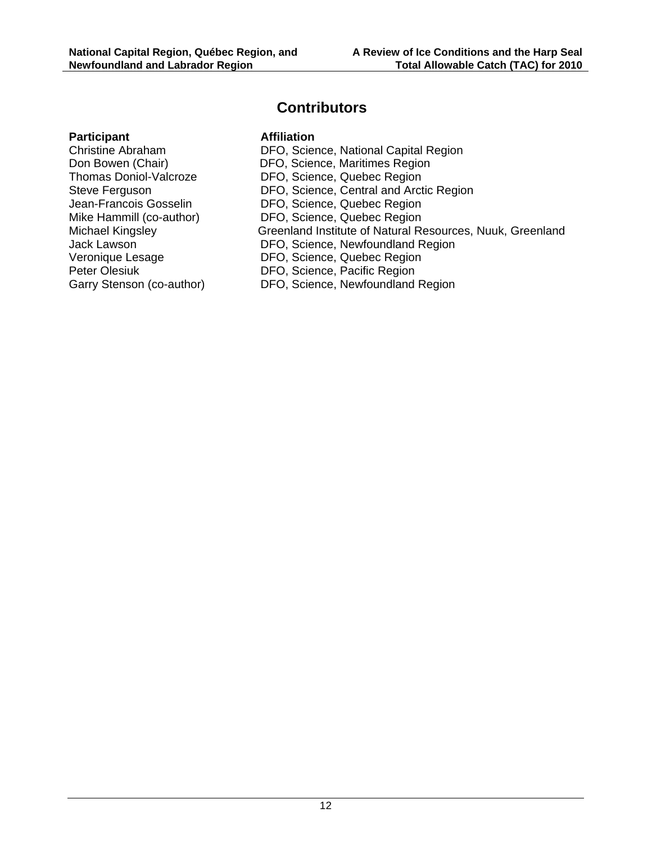#### **Contributors**

#### **Participant Affiliation**

Garry Stenson (co-author) DFO, Science, Newfoundland Region

Christine Abraham DFO, Science, National Capital Region Don Bowen (Chair) DFO, Science, Maritimes Region Thomas Doniol-Valcroze DFO, Science, Quebec Region Steve Ferguson **DFO, Science, Central and Arctic Region** Jean-Francois Gosselin DFO, Science, Quebec Region Mike Hammill (co-author) DFO, Science, Quebec Region Michael Kingsley Greenland Institute of Natural Resources, Nuuk, Greenland Jack Lawson DFO, Science, Newfoundland Region Veronique Lesage DFO, Science, Quebec Region Peter Olesiuk DFO, Science, Pacific Region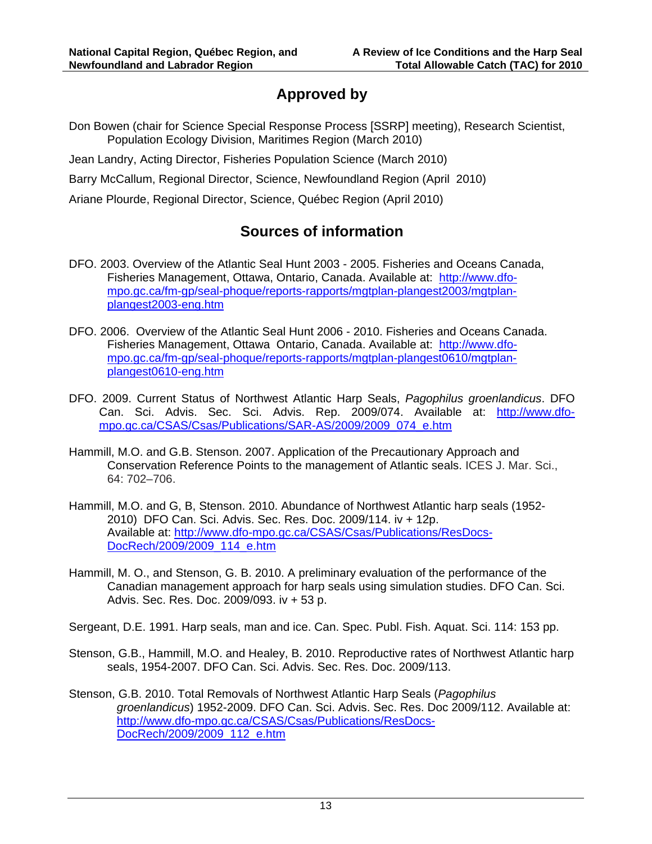## **Approved by**

Don Bowen (chair for Science Special Response Process [SSRP] meeting), Research Scientist, Population Ecology Division, Maritimes Region (March 2010)

Jean Landry, Acting Director, Fisheries Population Science (March 2010)

Barry McCallum, Regional Director, Science, Newfoundland Region (April 2010)

Ariane Plourde, Regional Director, Science, Québec Region (April 2010)

## **Sources of information**

- DFO. 2003. Overview of the Atlantic Seal Hunt 2003 2005. Fisheries and Oceans Canada, Fisheries Management, Ottawa, Ontario, Canada. Available at: http://www.dfompo.gc.ca/fm-gp/seal-phoque/reports-rapports/mgtplan-plangest2003/mgtplanplangest2003-eng.htm
- DFO. 2006. Overview of the Atlantic Seal Hunt 2006 2010. Fisheries and Oceans Canada. Fisheries Management, Ottawa Ontario, Canada. Available at: http://www.dfompo.gc.ca/fm-gp/seal-phoque/reports-rapports/mgtplan-plangest0610/mgtplanplangest0610-eng.htm
- DFO. 2009. Current Status of Northwest Atlantic Harp Seals, *Pagophilus groenlandicus*. DFO Can. Sci. Advis. Sec. Sci. Advis. Rep. 2009/074. Available at: http://www.dfompo.gc.ca/CSAS/Csas/Publications/SAR-AS/2009/2009\_074\_e.htm
- Hammill, M.O. and G.B. Stenson. 2007. Application of the Precautionary Approach and Conservation Reference Points to the management of Atlantic seals. ICES J. Mar. Sci., 64: 702–706.
- Hammill, M.O. and G, B, Stenson. 2010. Abundance of Northwest Atlantic harp seals (1952- 2010) DFO Can. Sci. Advis. Sec. Res. Doc. 2009/114. iv + 12p. Available at: http://www.dfo-mpo.gc.ca/CSAS/Csas/Publications/ResDocs-DocRech/2009/2009\_114\_e.htm
- Hammill, M. O., and Stenson, G. B. 2010. A preliminary evaluation of the performance of the Canadian management approach for harp seals using simulation studies. DFO Can. Sci. Advis. Sec. Res. Doc. 2009/093. iv + 53 p.

Sergeant, D.E. 1991. Harp seals, man and ice. Can. Spec. Publ. Fish. Aquat. Sci. 114: 153 pp.

- Stenson, G.B., Hammill, M.O. and Healey, B. 2010. Reproductive rates of Northwest Atlantic harp seals, 1954-2007. DFO Can. Sci. Advis. Sec. Res. Doc. 2009/113.
- Stenson, G.B. 2010. Total Removals of Northwest Atlantic Harp Seals (*Pagophilus groenlandicus*) 1952-2009. DFO Can. Sci. Advis. Sec. Res. Doc 2009/112. Available at: http://www.dfo-mpo.gc.ca/CSAS/Csas/Publications/ResDocs-DocRech/2009/2009\_112\_e.htm